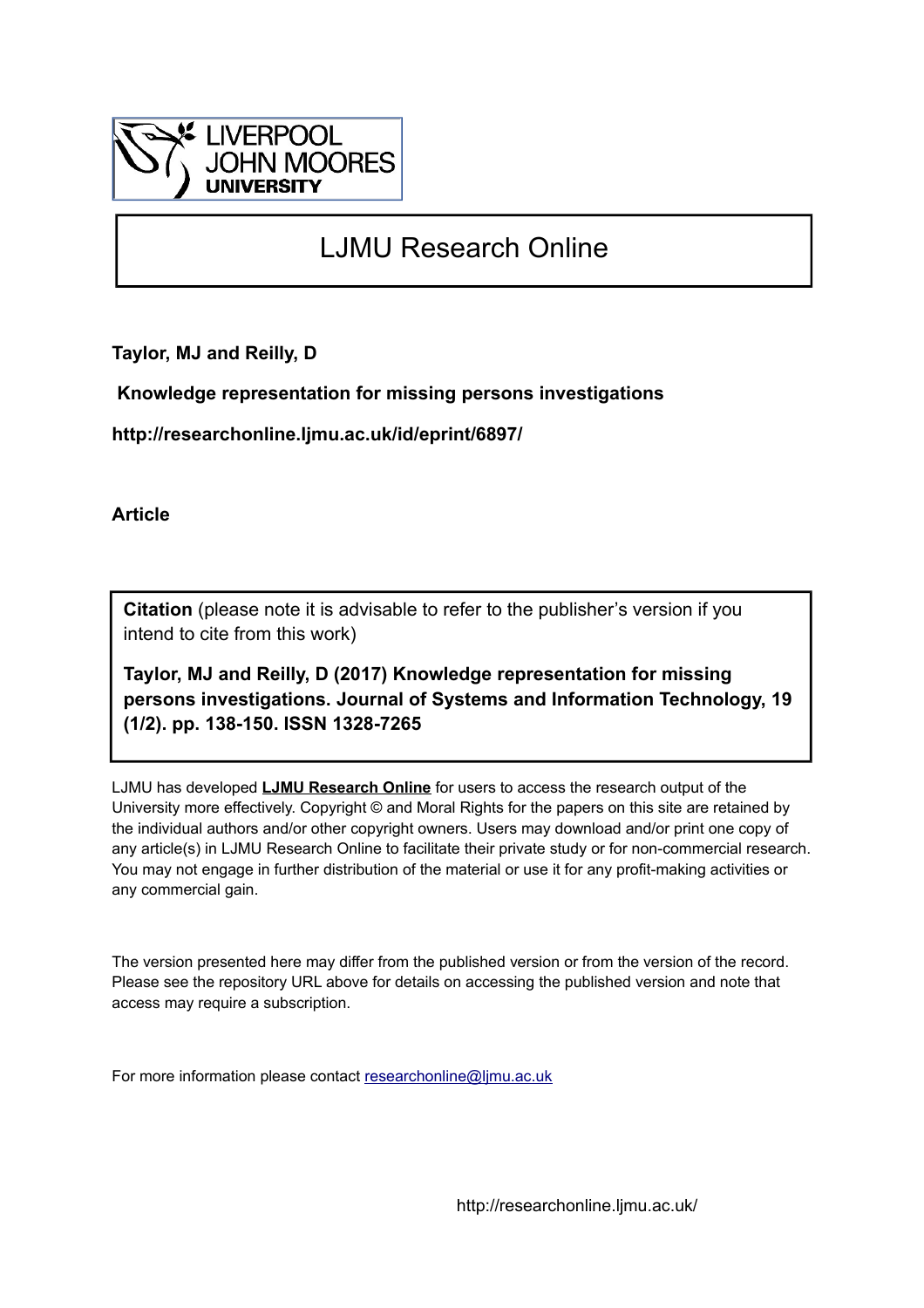

# LJMU Research Online

**Taylor, MJ and Reilly, D**

 **Knowledge representation for missing persons investigations**

**http://researchonline.ljmu.ac.uk/id/eprint/6897/**

**Article**

**Citation** (please note it is advisable to refer to the publisher's version if you intend to cite from this work)

**Taylor, MJ and Reilly, D (2017) Knowledge representation for missing persons investigations. Journal of Systems and Information Technology, 19 (1/2). pp. 138-150. ISSN 1328-7265** 

LJMU has developed **[LJMU Research Online](http://researchonline.ljmu.ac.uk/)** for users to access the research output of the University more effectively. Copyright © and Moral Rights for the papers on this site are retained by the individual authors and/or other copyright owners. Users may download and/or print one copy of any article(s) in LJMU Research Online to facilitate their private study or for non-commercial research. You may not engage in further distribution of the material or use it for any profit-making activities or any commercial gain.

The version presented here may differ from the published version or from the version of the record. Please see the repository URL above for details on accessing the published version and note that access may require a subscription.

For more information please contact [researchonline@ljmu.ac.uk](mailto:researchonline@ljmu.ac.uk)

http://researchonline.ljmu.ac.uk/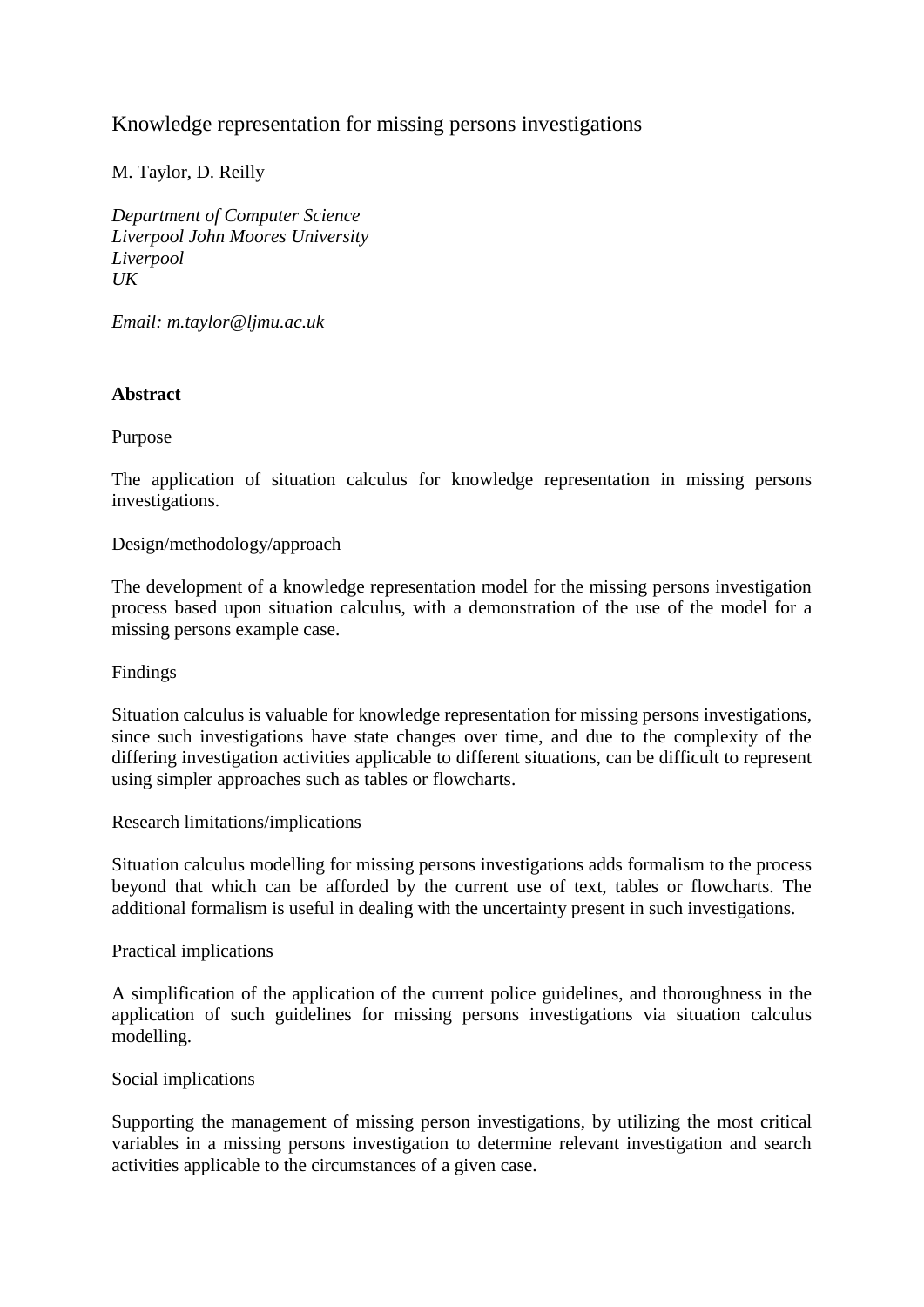## Knowledge representation for missing persons investigations

M. Taylor, D. Reilly

*Department of Computer Science Liverpool John Moores University Liverpool UK*

*Email: m.taylor@ljmu.ac.uk*

#### **Abstract**

#### Purpose

The application of situation calculus for knowledge representation in missing persons investigations.

#### Design/methodology/approach

The development of a knowledge representation model for the missing persons investigation process based upon situation calculus, with a demonstration of the use of the model for a missing persons example case.

#### Findings

Situation calculus is valuable for knowledge representation for missing persons investigations, since such investigations have state changes over time, and due to the complexity of the differing investigation activities applicable to different situations, can be difficult to represent using simpler approaches such as tables or flowcharts.

Research limitations/implications

Situation calculus modelling for missing persons investigations adds formalism to the process beyond that which can be afforded by the current use of text, tables or flowcharts. The additional formalism is useful in dealing with the uncertainty present in such investigations.

#### Practical implications

A simplification of the application of the current police guidelines, and thoroughness in the application of such guidelines for missing persons investigations via situation calculus modelling.

#### Social implications

Supporting the management of missing person investigations, by utilizing the most critical variables in a missing persons investigation to determine relevant investigation and search activities applicable to the circumstances of a given case.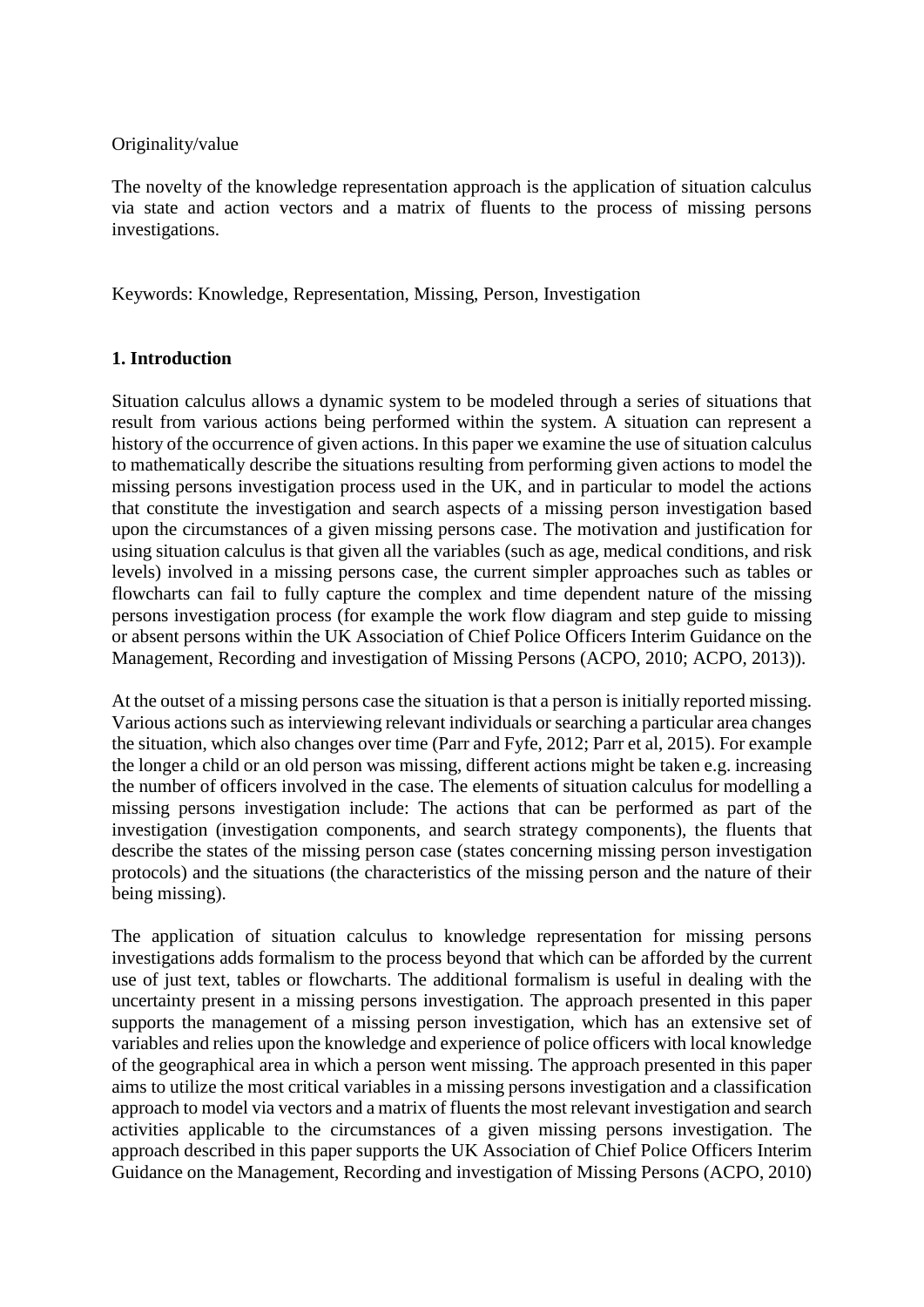#### Originality/value

The novelty of the knowledge representation approach is the application of situation calculus via state and action vectors and a matrix of fluents to the process of missing persons investigations.

Keywords: Knowledge, Representation, Missing, Person, Investigation

## **1. Introduction**

Situation calculus allows a dynamic system to be modeled through a series of situations that result from various actions being performed within the system. A situation can represent a history of the occurrence of given actions. In this paper we examine the use of situation calculus to mathematically describe the situations resulting from performing given actions to model the missing persons investigation process used in the UK, and in particular to model the actions that constitute the investigation and search aspects of a missing person investigation based upon the circumstances of a given missing persons case. The motivation and justification for using situation calculus is that given all the variables (such as age, medical conditions, and risk levels) involved in a missing persons case, the current simpler approaches such as tables or flowcharts can fail to fully capture the complex and time dependent nature of the missing persons investigation process (for example the work flow diagram and step guide to missing or absent persons within the UK Association of Chief Police Officers Interim Guidance on the Management, Recording and investigation of Missing Persons (ACPO, 2010; ACPO, 2013)).

At the outset of a missing persons case the situation is that a person is initially reported missing. Various actions such as interviewing relevant individuals or searching a particular area changes the situation, which also changes over time (Parr and Fyfe, 2012; Parr et al, 2015). For example the longer a child or an old person was missing, different actions might be taken e.g. increasing the number of officers involved in the case. The elements of situation calculus for modelling a missing persons investigation include: The actions that can be performed as part of the investigation (investigation components, and search strategy components), the fluents that describe the states of the missing person case (states concerning missing person investigation protocols) and the situations (the characteristics of the missing person and the nature of their being missing).

The application of situation calculus to knowledge representation for missing persons investigations adds formalism to the process beyond that which can be afforded by the current use of just text, tables or flowcharts. The additional formalism is useful in dealing with the uncertainty present in a missing persons investigation. The approach presented in this paper supports the management of a missing person investigation, which has an extensive set of variables and relies upon the knowledge and experience of police officers with local knowledge of the geographical area in which a person went missing. The approach presented in this paper aims to utilize the most critical variables in a missing persons investigation and a classification approach to model via vectors and a matrix of fluents the most relevant investigation and search activities applicable to the circumstances of a given missing persons investigation. The approach described in this paper supports the UK Association of Chief Police Officers Interim Guidance on the Management, Recording and investigation of Missing Persons (ACPO, 2010)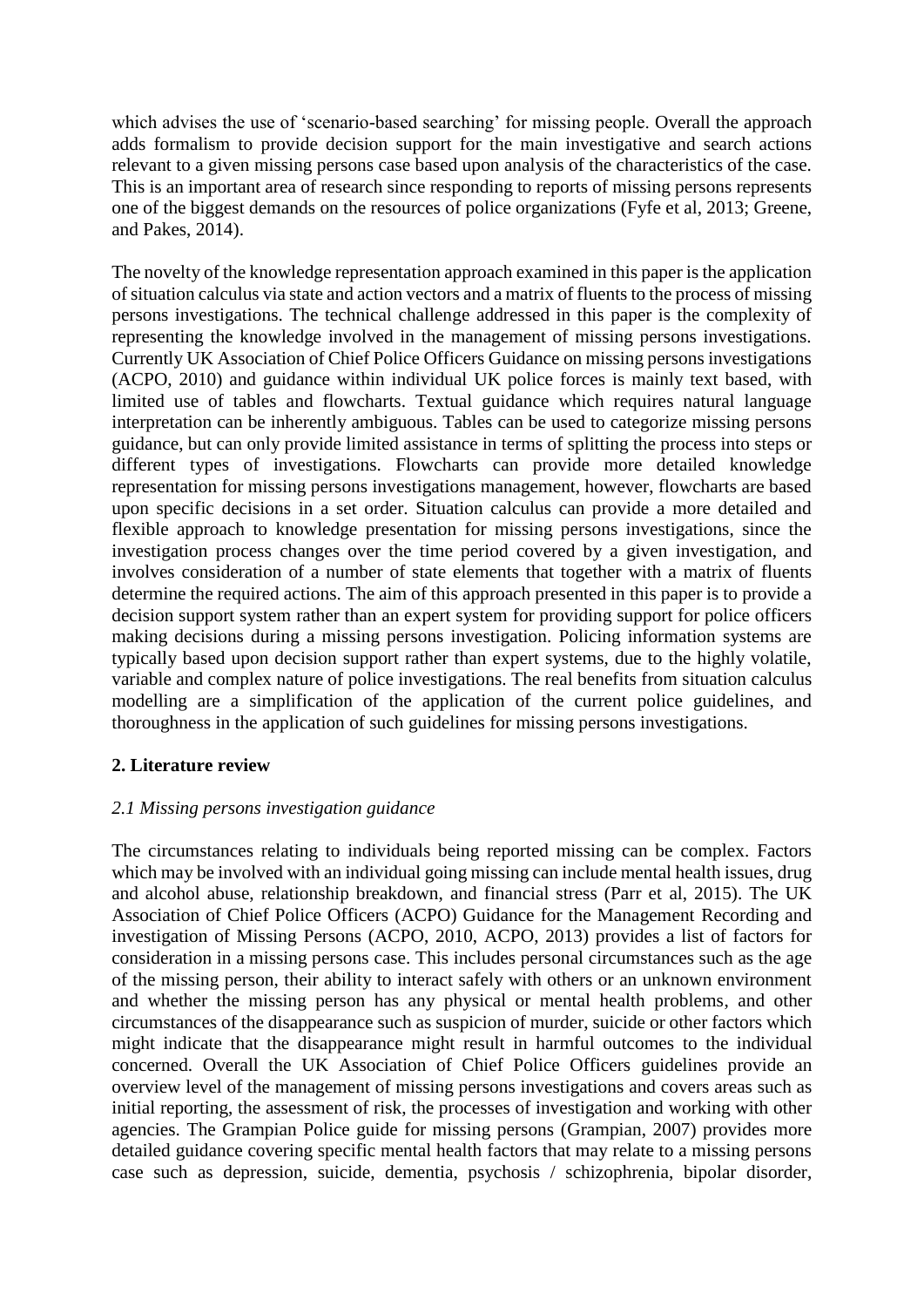which advises the use of 'scenario-based searching' for missing people. Overall the approach adds formalism to provide decision support for the main investigative and search actions relevant to a given missing persons case based upon analysis of the characteristics of the case. This is an important area of research since responding to reports of missing persons represents one of the biggest demands on the resources of police organizations (Fyfe et al, 2013; Greene, and Pakes, 2014).

The novelty of the knowledge representation approach examined in this paper is the application of situation calculus via state and action vectors and a matrix of fluents to the process of missing persons investigations. The technical challenge addressed in this paper is the complexity of representing the knowledge involved in the management of missing persons investigations. Currently UK Association of Chief Police Officers Guidance on missing persons investigations (ACPO, 2010) and guidance within individual UK police forces is mainly text based, with limited use of tables and flowcharts. Textual guidance which requires natural language interpretation can be inherently ambiguous. Tables can be used to categorize missing persons guidance, but can only provide limited assistance in terms of splitting the process into steps or different types of investigations. Flowcharts can provide more detailed knowledge representation for missing persons investigations management, however, flowcharts are based upon specific decisions in a set order. Situation calculus can provide a more detailed and flexible approach to knowledge presentation for missing persons investigations, since the investigation process changes over the time period covered by a given investigation, and involves consideration of a number of state elements that together with a matrix of fluents determine the required actions. The aim of this approach presented in this paper is to provide a decision support system rather than an expert system for providing support for police officers making decisions during a missing persons investigation. Policing information systems are typically based upon decision support rather than expert systems, due to the highly volatile, variable and complex nature of police investigations. The real benefits from situation calculus modelling are a simplification of the application of the current police guidelines, and thoroughness in the application of such guidelines for missing persons investigations.

## **2. Literature review**

## *2.1 Missing persons investigation guidance*

The circumstances relating to individuals being reported missing can be complex. Factors which may be involved with an individual going missing can include mental health issues, drug and alcohol abuse, relationship breakdown, and financial stress (Parr et al, 2015). The UK Association of Chief Police Officers (ACPO) Guidance for the Management Recording and investigation of Missing Persons (ACPO, 2010, ACPO, 2013) provides a list of factors for consideration in a missing persons case. This includes personal circumstances such as the age of the missing person, their ability to interact safely with others or an unknown environment and whether the missing person has any physical or mental health problems, and other circumstances of the disappearance such as suspicion of murder, suicide or other factors which might indicate that the disappearance might result in harmful outcomes to the individual concerned. Overall the UK Association of Chief Police Officers guidelines provide an overview level of the management of missing persons investigations and covers areas such as initial reporting, the assessment of risk, the processes of investigation and working with other agencies. The Grampian Police guide for missing persons (Grampian, 2007) provides more detailed guidance covering specific mental health factors that may relate to a missing persons case such as depression, suicide, dementia, psychosis / schizophrenia, bipolar disorder,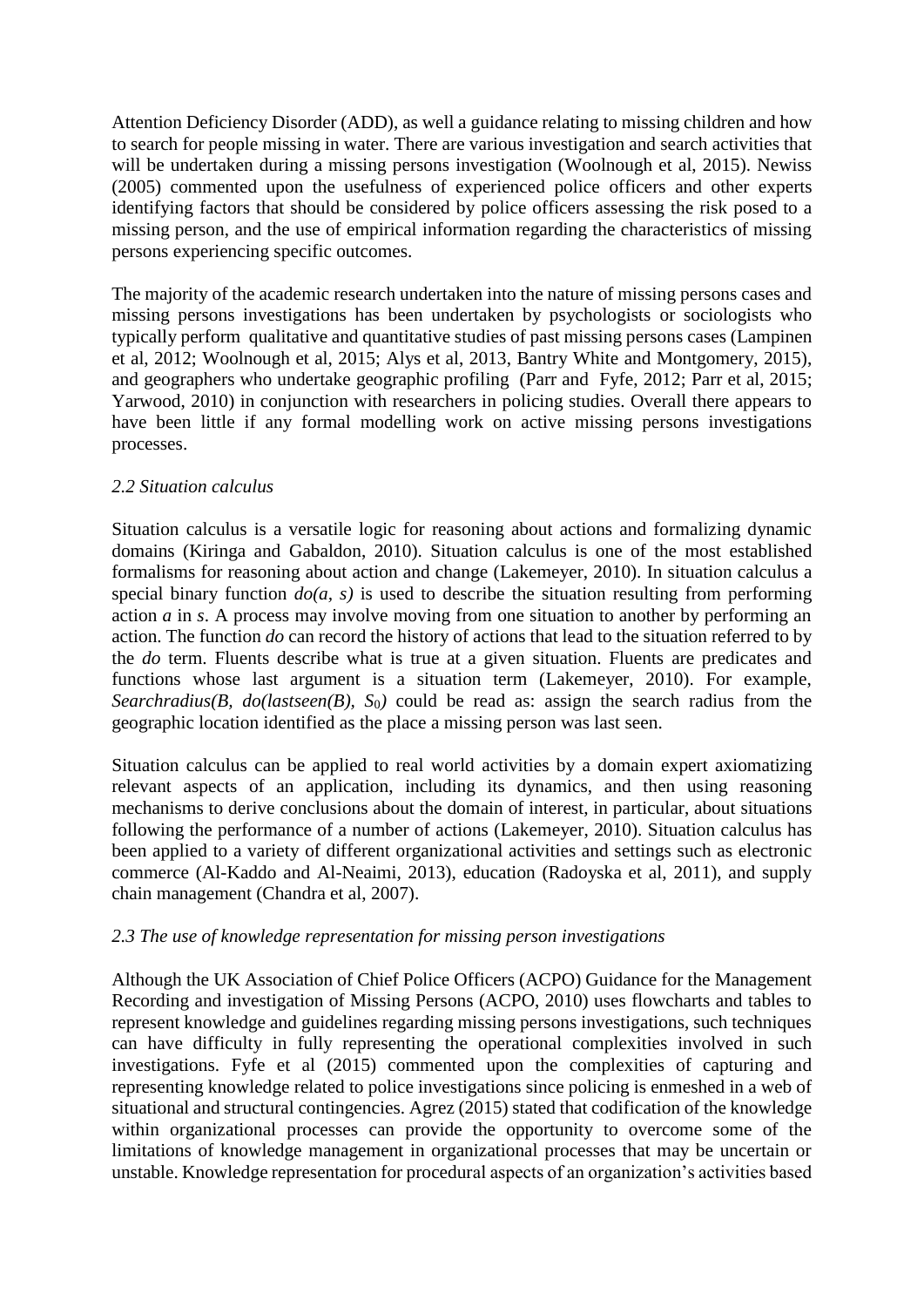Attention Deficiency Disorder (ADD), as well a guidance relating to missing children and how to search for people missing in water. There are various investigation and search activities that will be undertaken during a missing persons investigation (Woolnough et al, 2015). Newiss (2005) commented upon the usefulness of experienced police officers and other experts identifying factors that should be considered by police officers assessing the risk posed to a missing person, and the use of empirical information regarding the characteristics of missing persons experiencing specific outcomes.

The majority of the academic research undertaken into the nature of missing persons cases and missing persons investigations has been undertaken by psychologists or sociologists who typically perform qualitative and quantitative studies of past missing persons cases (Lampinen et al, 2012; Woolnough et al, 2015; Alys et al, 2013, Bantry White and Montgomery, 2015), and geographers who undertake geographic profiling (Parr and Fyfe, 2012; Parr et al, 2015; Yarwood, 2010) in conjunction with researchers in policing studies. Overall there appears to have been little if any formal modelling work on active missing persons investigations processes.

#### *2.2 Situation calculus*

Situation calculus is a versatile logic for reasoning about actions and formalizing dynamic domains (Kiringa and Gabaldon, 2010). Situation calculus is one of the most established formalisms for reasoning about action and change (Lakemeyer, 2010). In situation calculus a special binary function  $do(a, s)$  is used to describe the situation resulting from performing action *a* in *s*. A process may involve moving from one situation to another by performing an action. The function *do* can record the history of actions that lead to the situation referred to by the *do* term. Fluents describe what is true at a given situation. Fluents are predicates and functions whose last argument is a situation term (Lakemeyer, 2010). For example, *Searchradius(B, do(lastseen(B), S<sub>0</sub>)* could be read as: assign the search radius from the geographic location identified as the place a missing person was last seen.

Situation calculus can be applied to real world activities by a domain expert axiomatizing relevant aspects of an application, including its dynamics, and then using reasoning mechanisms to derive conclusions about the domain of interest, in particular, about situations following the performance of a number of actions (Lakemeyer, 2010). Situation calculus has been applied to a variety of different organizational activities and settings such as electronic commerce (Al-Kaddo and Al-Neaimi, 2013), education (Radoyska et al, 2011), and supply chain management (Chandra et al, 2007).

## *2.3 The use of knowledge representation for missing person investigations*

Although the UK Association of Chief Police Officers (ACPO) Guidance for the Management Recording and investigation of Missing Persons (ACPO, 2010) uses flowcharts and tables to represent knowledge and guidelines regarding missing persons investigations, such techniques can have difficulty in fully representing the operational complexities involved in such investigations. Fyfe et al (2015) commented upon the complexities of capturing and representing knowledge related to police investigations since policing is enmeshed in a web of situational and structural contingencies. Agrez (2015) stated that codification of the knowledge within organizational processes can provide the opportunity to overcome some of the limitations of knowledge management in organizational processes that may be uncertain or unstable. Knowledge representation for procedural aspects of an organization's activities based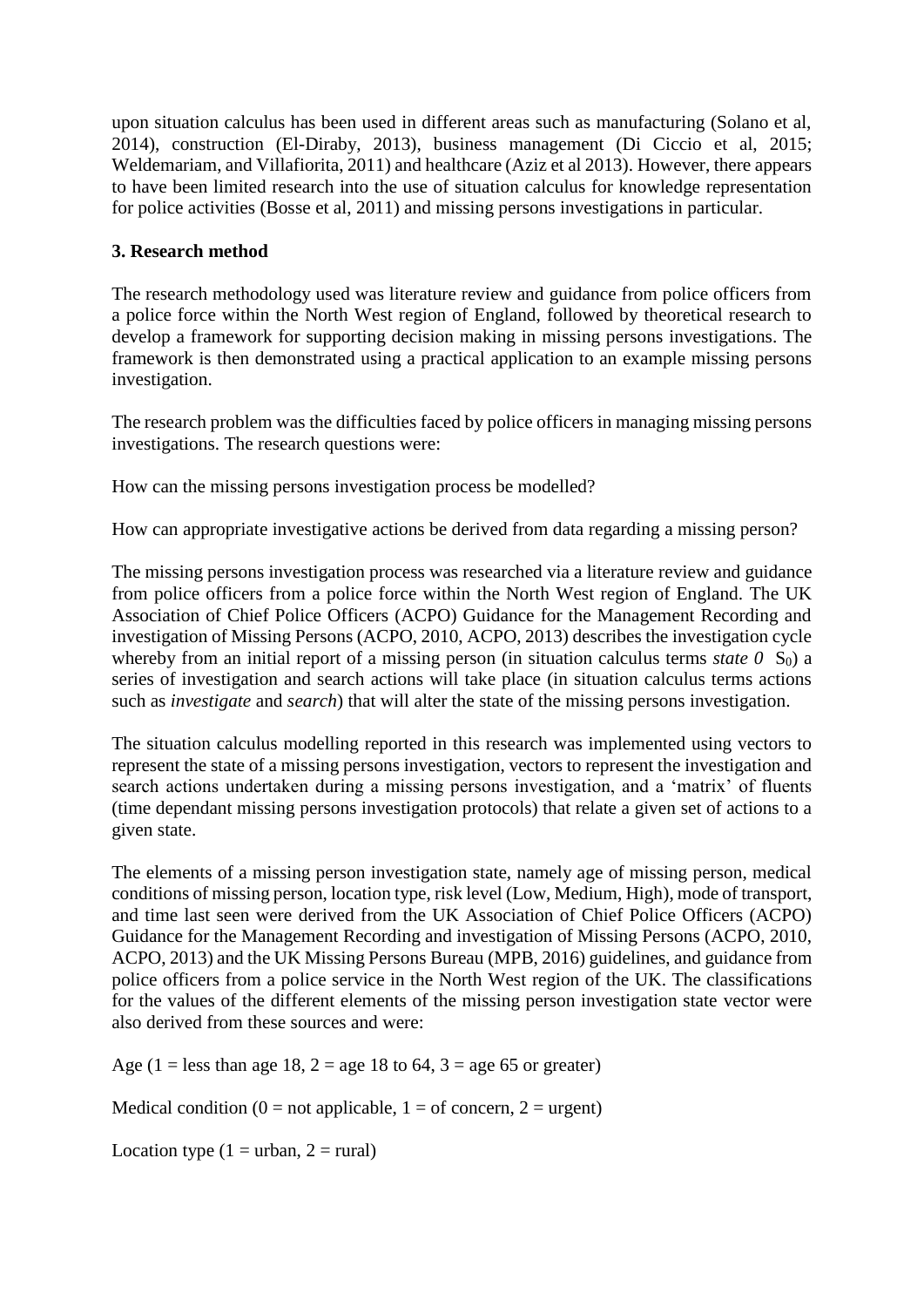upon situation calculus has been used in different areas such as manufacturing (Solano et al, 2014), construction (El-Diraby, 2013), business management (Di Ciccio et al, 2015; Weldemariam, and Villafiorita, 2011) and healthcare (Aziz et al 2013). However, there appears to have been limited research into the use of situation calculus for knowledge representation for police activities (Bosse et al, 2011) and missing persons investigations in particular.

## **3. Research method**

The research methodology used was literature review and guidance from police officers from a police force within the North West region of England, followed by theoretical research to develop a framework for supporting decision making in missing persons investigations. The framework is then demonstrated using a practical application to an example missing persons investigation.

The research problem was the difficulties faced by police officers in managing missing persons investigations. The research questions were:

How can the missing persons investigation process be modelled?

How can appropriate investigative actions be derived from data regarding a missing person?

The missing persons investigation process was researched via a literature review and guidance from police officers from a police force within the North West region of England. The UK Association of Chief Police Officers (ACPO) Guidance for the Management Recording and investigation of Missing Persons (ACPO, 2010, ACPO, 2013) describes the investigation cycle whereby from an initial report of a missing person (in situation calculus terms *state 0*  $\vert$ S<sub>0</sub>) a series of investigation and search actions will take place (in situation calculus terms actions such as *investigate* and *search*) that will alter the state of the missing persons investigation.

The situation calculus modelling reported in this research was implemented using vectors to represent the state of a missing persons investigation, vectors to represent the investigation and search actions undertaken during a missing persons investigation, and a 'matrix' of fluents (time dependant missing persons investigation protocols) that relate a given set of actions to a given state.

The elements of a missing person investigation state, namely age of missing person, medical conditions of missing person, location type, risk level (Low, Medium, High), mode of transport, and time last seen were derived from the UK Association of Chief Police Officers (ACPO) Guidance for the Management Recording and investigation of Missing Persons (ACPO, 2010, ACPO, 2013) and the UK Missing Persons Bureau (MPB, 2016) guidelines, and guidance from police officers from a police service in the North West region of the UK. The classifications for the values of the different elements of the missing person investigation state vector were also derived from these sources and were:

Age (1 = less than age 18, 2 = age 18 to 64, 3 = age 65 or greater)

Medical condition (0 = not applicable,  $1 =$  of concern, 2 = urgent)

Location type  $(1 =$  urban,  $2 =$  rural)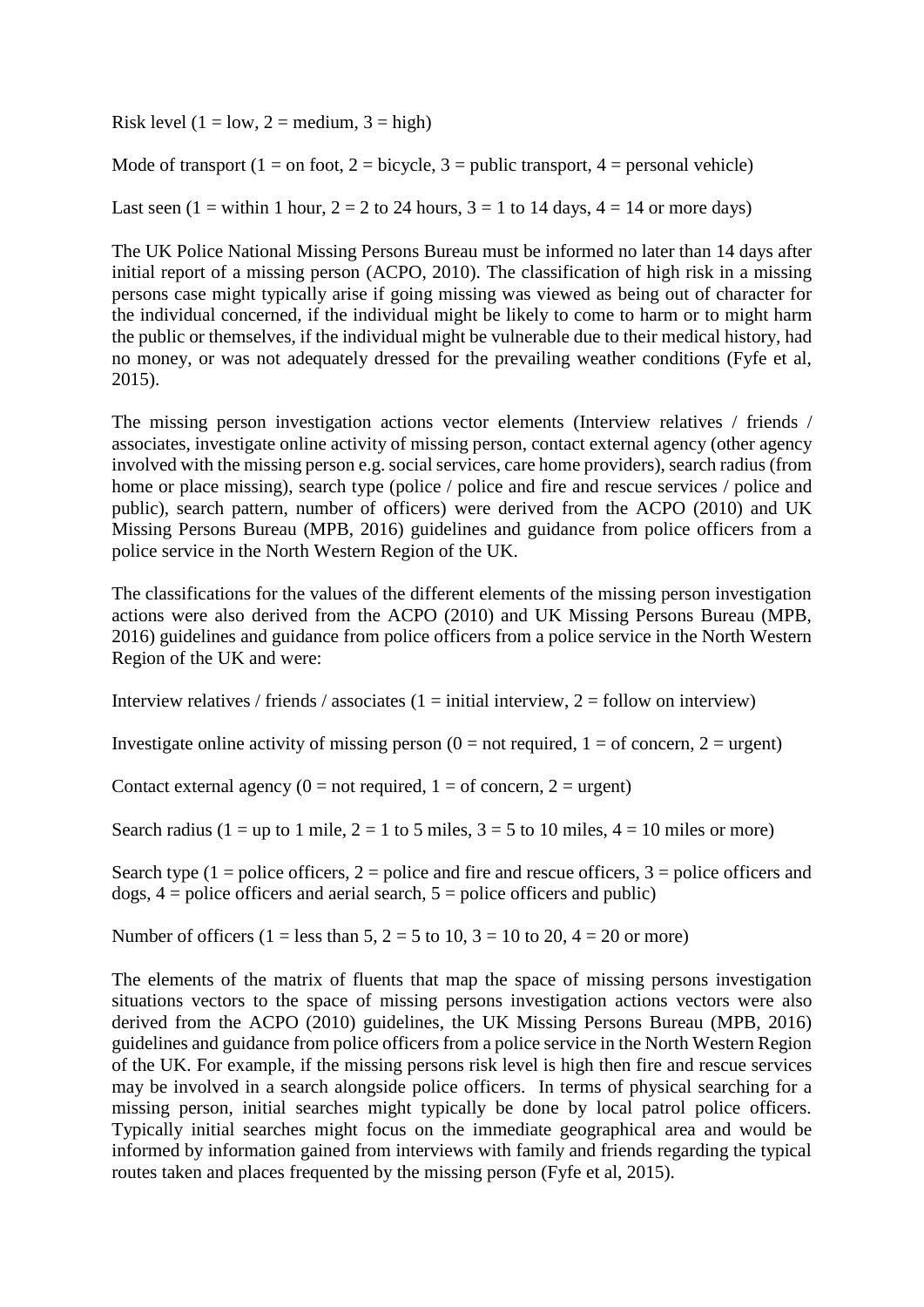Risk level (1 = low, 2 = medium,  $3 =$  high)

Mode of transport (1 = on foot, 2 = bicycle, 3 = public transport, 4 = personal vehicle)

Last seen (1 = within 1 hour,  $2 = 2$  to 24 hours,  $3 = 1$  to 14 days,  $4 = 14$  or more days)

The UK Police National Missing Persons Bureau must be informed no later than 14 days after initial report of a missing person (ACPO, 2010). The classification of high risk in a missing persons case might typically arise if going missing was viewed as being out of character for the individual concerned, if the individual might be likely to come to harm or to might harm the public or themselves, if the individual might be vulnerable due to their medical history, had no money, or was not adequately dressed for the prevailing weather conditions (Fyfe et al, 2015).

The missing person investigation actions vector elements (Interview relatives / friends / associates, investigate online activity of missing person, contact external agency (other agency involved with the missing person e.g. social services, care home providers), search radius (from home or place missing), search type (police / police and fire and rescue services / police and public), search pattern, number of officers) were derived from the ACPO (2010) and UK Missing Persons Bureau (MPB, 2016) guidelines and guidance from police officers from a police service in the North Western Region of the UK.

The classifications for the values of the different elements of the missing person investigation actions were also derived from the ACPO (2010) and UK Missing Persons Bureau (MPB, 2016) guidelines and guidance from police officers from a police service in the North Western Region of the UK and were:

Interview relatives / friends / associates (1 = initial interview, 2 = follow on interview)

Investigate online activity of missing person ( $0 =$  not required,  $1 =$  of concern,  $2 =$  urgent)

Contact external agency  $(0 = not required, 1 = of concern, 2 = urgent)$ 

Search radius (1 = up to 1 mile, 2 = 1 to 5 miles,  $3 = 5$  to 10 miles, 4 = 10 miles or more)

Search type (1 = police officers, 2 = police and fire and rescue officers, 3 = police officers and  $\text{dogs}$ ,  $4 = \text{policy officers}$  and aerial search,  $5 = \text{policy officers}$  and  $\text{public}$ )

Number of officers (1 = less than 5, 2 = 5 to 10, 3 = 10 to 20, 4 = 20 or more)

The elements of the matrix of fluents that map the space of missing persons investigation situations vectors to the space of missing persons investigation actions vectors were also derived from the ACPO (2010) guidelines, the UK Missing Persons Bureau (MPB, 2016) guidelines and guidance from police officers from a police service in the North Western Region of the UK. For example, if the missing persons risk level is high then fire and rescue services may be involved in a search alongside police officers. In terms of physical searching for a missing person, initial searches might typically be done by local patrol police officers. Typically initial searches might focus on the immediate geographical area and would be informed by information gained from interviews with family and friends regarding the typical routes taken and places frequented by the missing person (Fyfe et al, 2015).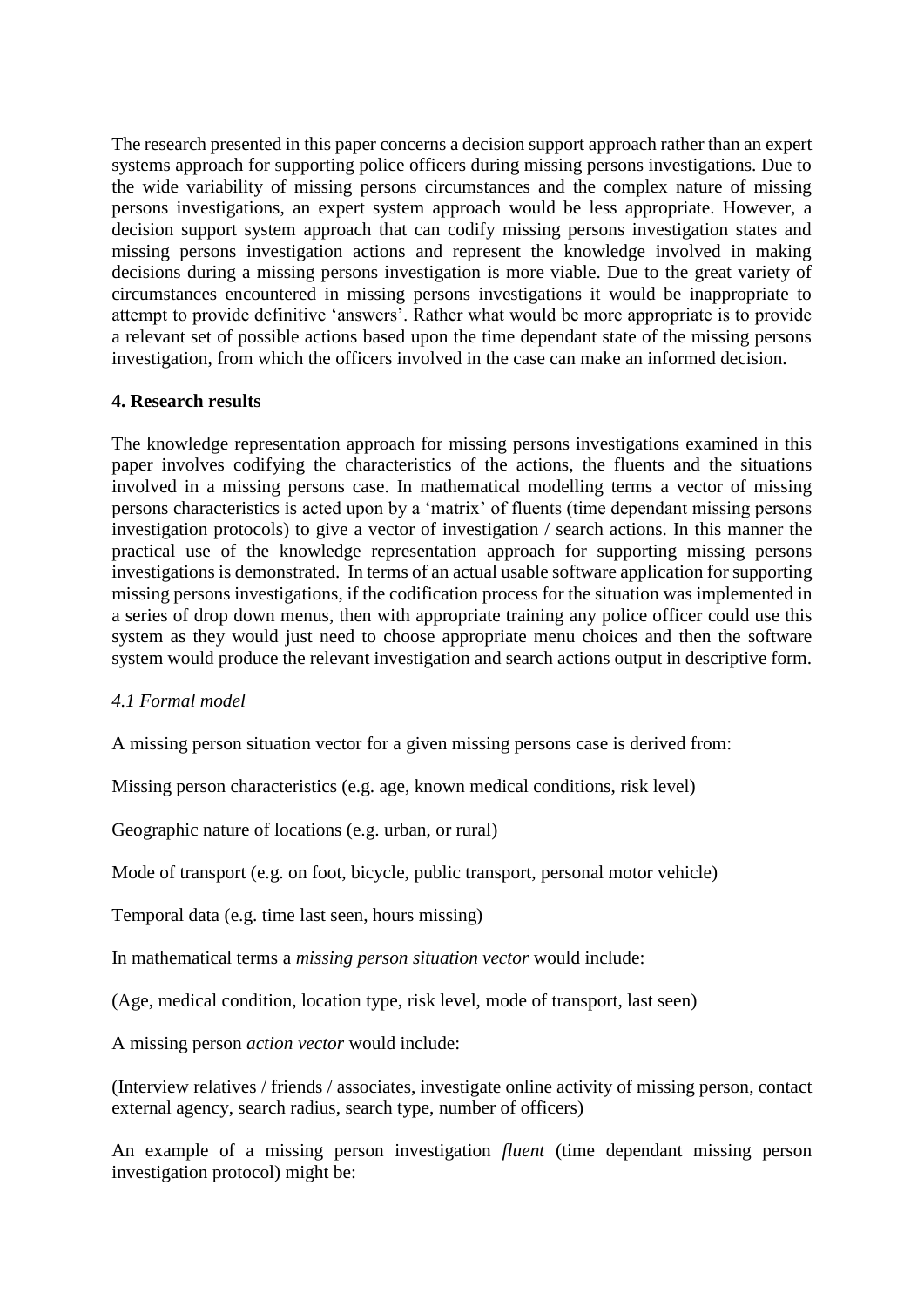The research presented in this paper concerns a decision support approach rather than an expert systems approach for supporting police officers during missing persons investigations. Due to the wide variability of missing persons circumstances and the complex nature of missing persons investigations, an expert system approach would be less appropriate. However, a decision support system approach that can codify missing persons investigation states and missing persons investigation actions and represent the knowledge involved in making decisions during a missing persons investigation is more viable. Due to the great variety of circumstances encountered in missing persons investigations it would be inappropriate to attempt to provide definitive 'answers'. Rather what would be more appropriate is to provide a relevant set of possible actions based upon the time dependant state of the missing persons investigation, from which the officers involved in the case can make an informed decision.

#### **4. Research results**

The knowledge representation approach for missing persons investigations examined in this paper involves codifying the characteristics of the actions, the fluents and the situations involved in a missing persons case. In mathematical modelling terms a vector of missing persons characteristics is acted upon by a 'matrix' of fluents (time dependant missing persons investigation protocols) to give a vector of investigation / search actions. In this manner the practical use of the knowledge representation approach for supporting missing persons investigations is demonstrated. In terms of an actual usable software application for supporting missing persons investigations, if the codification process for the situation was implemented in a series of drop down menus, then with appropriate training any police officer could use this system as they would just need to choose appropriate menu choices and then the software system would produce the relevant investigation and search actions output in descriptive form.

## *4.1 Formal model*

A missing person situation vector for a given missing persons case is derived from:

Missing person characteristics (e.g. age, known medical conditions, risk level)

Geographic nature of locations (e.g. urban, or rural)

Mode of transport (e.g. on foot, bicycle, public transport, personal motor vehicle)

Temporal data (e.g. time last seen, hours missing)

In mathematical terms a *missing person situation vector* would include:

(Age, medical condition, location type, risk level, mode of transport, last seen)

A missing person *action vector* would include:

(Interview relatives / friends / associates, investigate online activity of missing person, contact external agency, search radius, search type, number of officers)

An example of a missing person investigation *fluent* (time dependant missing person investigation protocol) might be: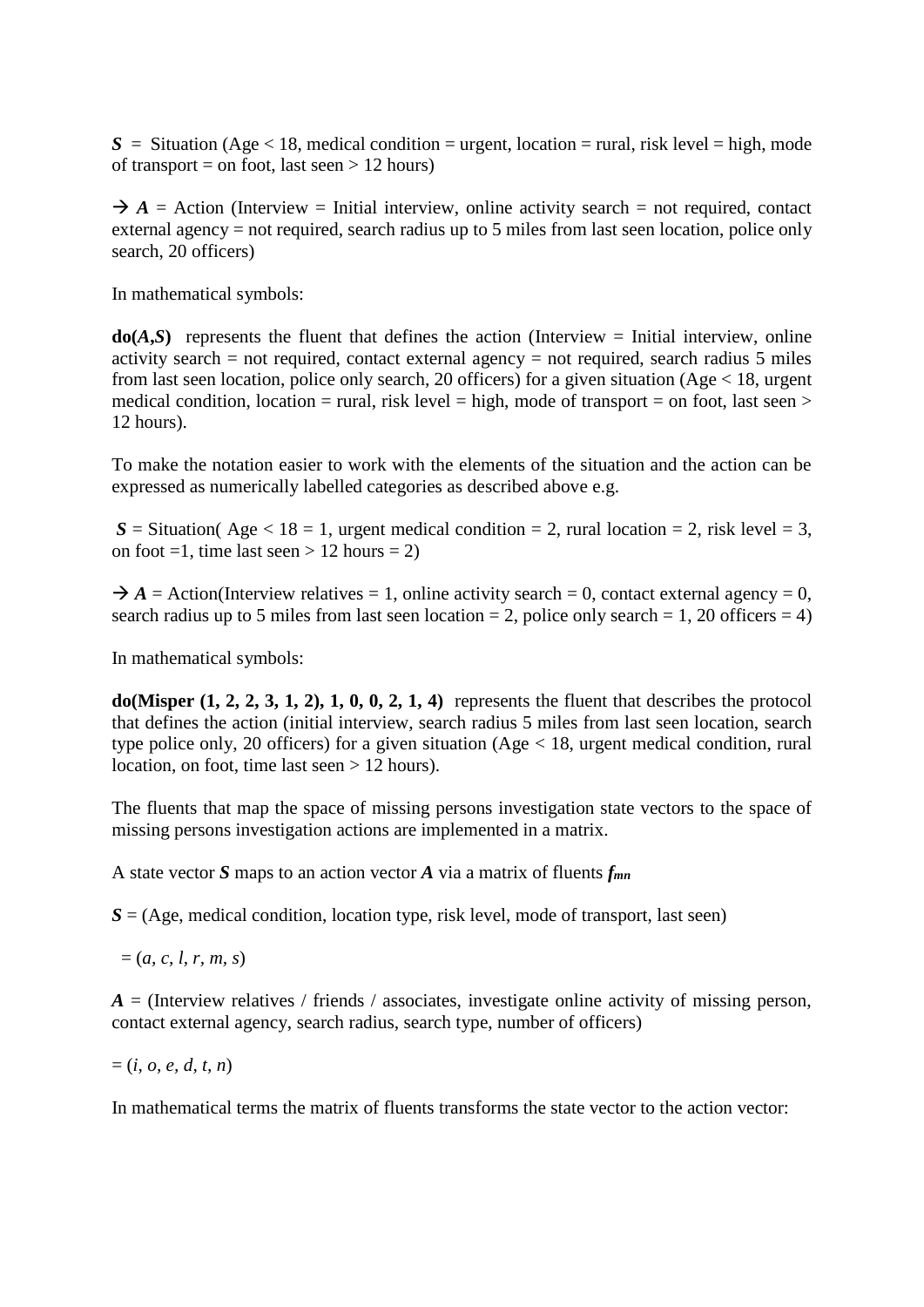$S =$  Situation (Age < 18, medical condition = urgent, location = rural, risk level = high, mode of transport = on foot, last seen > 12 hours)

 $\rightarrow$  *A* = Action (Interview = Initial interview, online activity search = not required, contact external agency = not required, search radius up to 5 miles from last seen location, police only search, 20 officers)

In mathematical symbols:

 $do(A, S)$  represents the fluent that defines the action (Interview = Initial interview, online activity search  $=$  not required, contact external agency  $=$  not required, search radius 5 miles from last seen location, police only search, 20 officers) for a given situation (Age < 18, urgent medical condition, location = rural, risk level = high, mode of transport = on foot, last seen > 12 hours).

To make the notation easier to work with the elements of the situation and the action can be expressed as numerically labelled categories as described above e.g.

 $S =$  Situation(Age < 18 = 1, urgent medical condition = 2, rural location = 2, risk level = 3, on foot =1, time last seen > 12 hours = 2)

 $\rightarrow$  *A* = Action(Interview relatives = 1, online activity search = 0, contact external agency = 0, search radius up to 5 miles from last seen location = 2, police only search = 1, 20 officers = 4)

In mathematical symbols:

**do(Misper (1, 2, 2, 3, 1, 2), 1, 0, 0, 2, 1, 4)** represents the fluent that describes the protocol that defines the action (initial interview, search radius 5 miles from last seen location, search type police only, 20 officers) for a given situation (Age < 18, urgent medical condition, rural location, on foot, time last seen > 12 hours).

The fluents that map the space of missing persons investigation state vectors to the space of missing persons investigation actions are implemented in a matrix.

A state vector *S* maps to an action vector *A* via a matrix of fluents *fmn*

*S* = (Age, medical condition, location type, risk level, mode of transport, last seen)

 $=(a, c, l, r, m, s)$ 

 $A =$  (Interview relatives / friends / associates, investigate online activity of missing person, contact external agency, search radius, search type, number of officers)

 $=(i, o, e, d, t, n)$ 

In mathematical terms the matrix of fluents transforms the state vector to the action vector: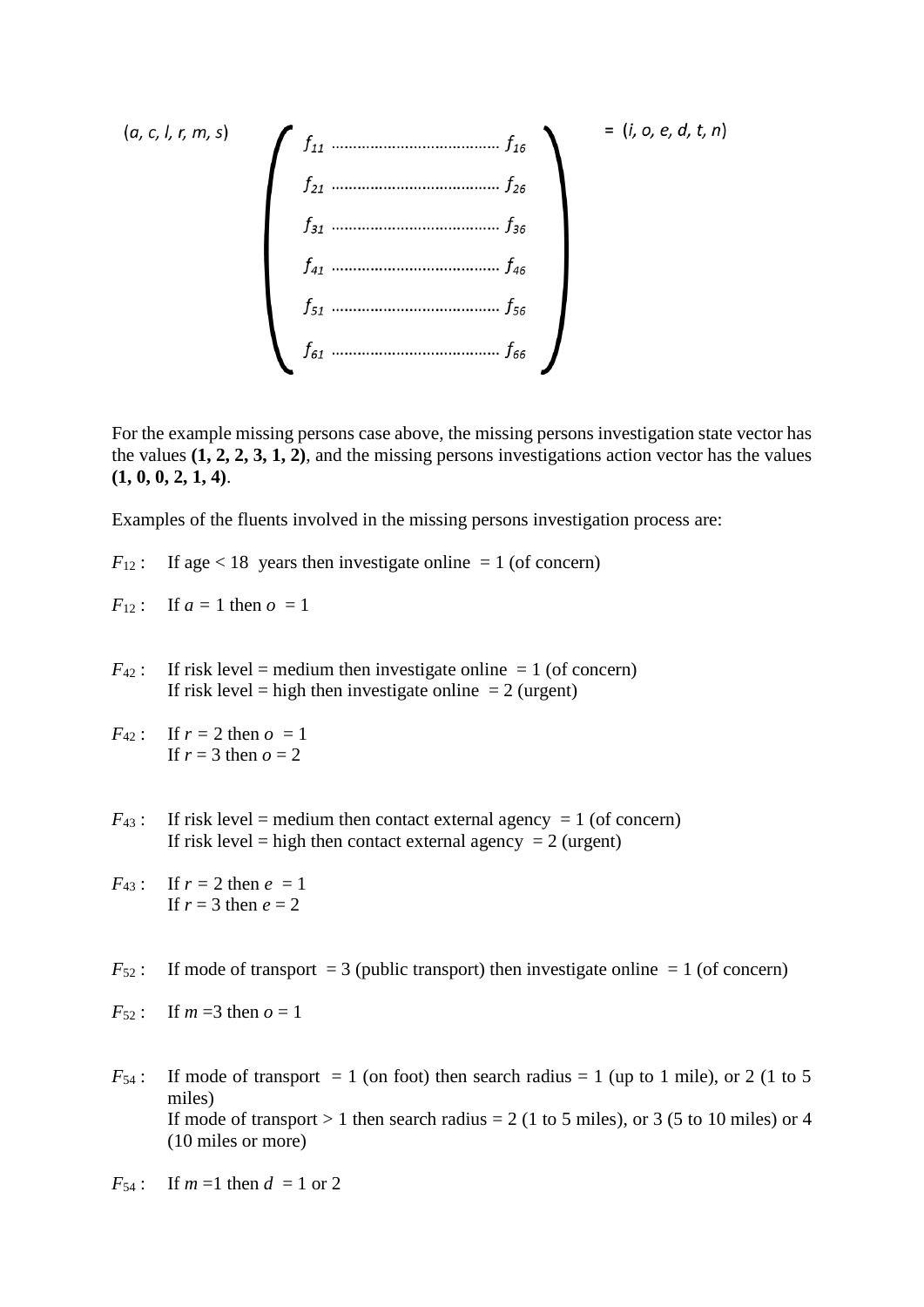

For the example missing persons case above, the missing persons investigation state vector has the values **(1, 2, 2, 3, 1, 2)**, and the missing persons investigations action vector has the values **(1, 0, 0, 2, 1, 4)**.

Examples of the fluents involved in the missing persons investigation process are:

 $F_{12}$ : If age < 18 years then investigate online = 1 (of concern)

$$
F_{12}
$$
: If  $a = 1$  then  $o = 1$ 

- $F_{42}$ : If risk level = medium then investigate online = 1 (of concern) If risk level = high then investigate online = 2 (urgent)
- *F*<sub>42</sub> : If *r* = 2 then  $o = 1$ If  $r = 3$  then  $o = 2$
- $F_{43}$ : If risk level = medium then contact external agency = 1 (of concern) If risk level = high then contact external agency =  $2$  (urgent)
- *F*<sub>43</sub> : If  $r = 2$  then  $e = 1$ If  $r = 3$  then  $e = 2$
- $F_{52}$ : If mode of transport = 3 (public transport) then investigate online = 1 (of concern)
- $F_{52}$ : If  $m=3$  then  $q=1$
- $F_{54}$ : If mode of transport = 1 (on foot) then search radius = 1 (up to 1 mile), or 2 (1 to 5 miles) If mode of transport  $> 1$  then search radius  $= 2$  (1 to 5 miles), or 3 (5 to 10 miles) or 4 (10 miles or more)
- *F*<sup>54</sup> : If *m* =1 then *d* = 1 or 2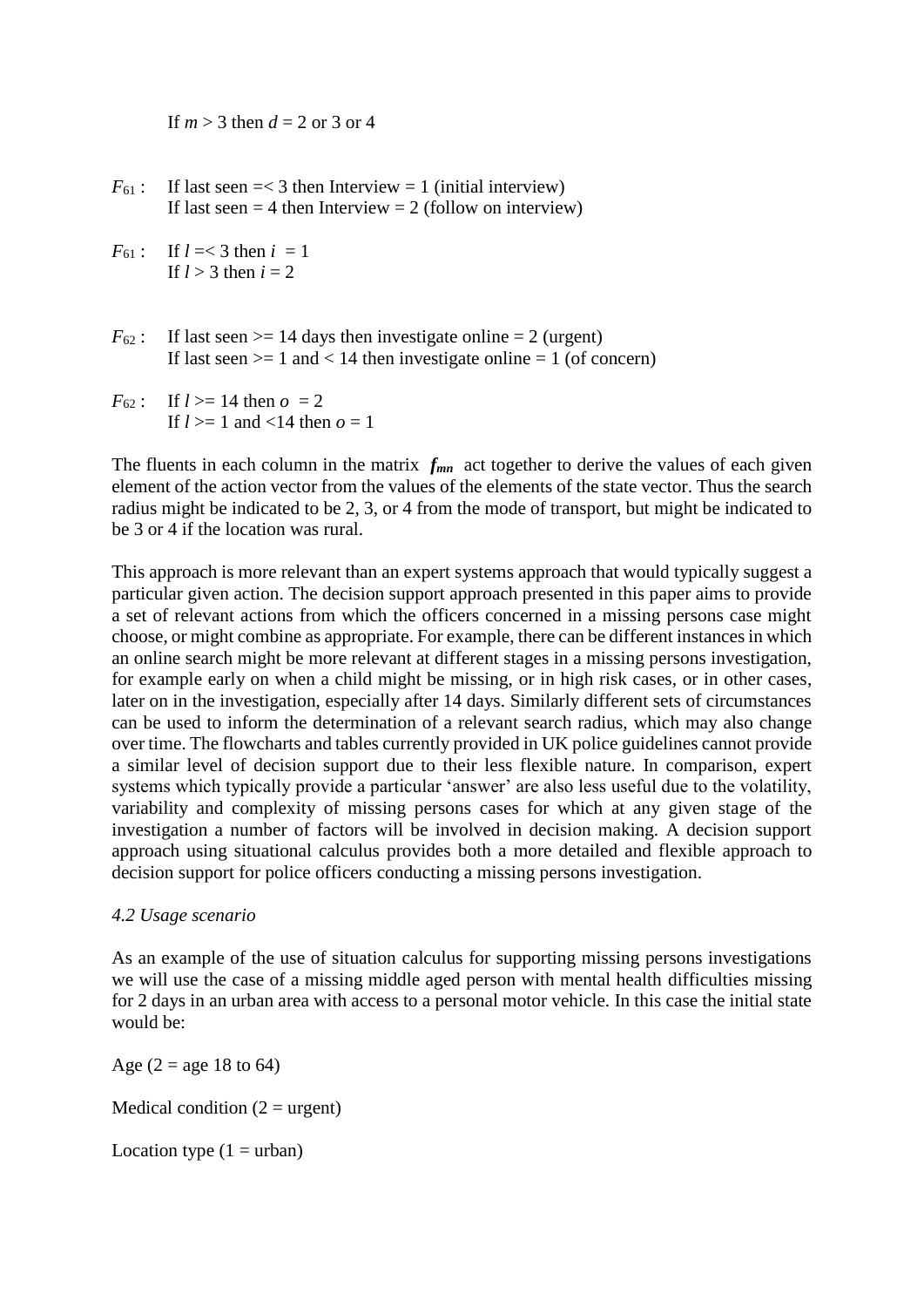If  $m > 3$  then  $d = 2$  or 3 or 4

- $F_{61}$ : If last seen  $=<$  3 then Interview  $=$  1 (initial interview) If last seen  $= 4$  then Interview  $= 2$  (follow on interview)
- $F_{61}$ : If  $l = < 3$  then  $i = 1$ If  $l > 3$  then  $i = 2$
- $F_{62}$ : If last seen  $> = 14$  days then investigate online  $= 2$  (urgent) If last seen  $>= 1$  and  $< 14$  then investigate online  $= 1$  (of concern)
- $F_{62}$ : If  $l \ge 14$  then  $\rho = 2$ If  $l \geq 1$  and  $\lt 14$  then  $\rho = 1$

The fluents in each column in the matrix  $f_{mn}$  act together to derive the values of each given element of the action vector from the values of the elements of the state vector. Thus the search radius might be indicated to be 2, 3, or 4 from the mode of transport, but might be indicated to be 3 or 4 if the location was rural.

This approach is more relevant than an expert systems approach that would typically suggest a particular given action. The decision support approach presented in this paper aims to provide a set of relevant actions from which the officers concerned in a missing persons case might choose, or might combine as appropriate. For example, there can be different instances in which an online search might be more relevant at different stages in a missing persons investigation, for example early on when a child might be missing, or in high risk cases, or in other cases, later on in the investigation, especially after 14 days. Similarly different sets of circumstances can be used to inform the determination of a relevant search radius, which may also change over time. The flowcharts and tables currently provided in UK police guidelines cannot provide a similar level of decision support due to their less flexible nature. In comparison, expert systems which typically provide a particular 'answer' are also less useful due to the volatility, variability and complexity of missing persons cases for which at any given stage of the investigation a number of factors will be involved in decision making. A decision support approach using situational calculus provides both a more detailed and flexible approach to decision support for police officers conducting a missing persons investigation.

#### *4.2 Usage scenario*

As an example of the use of situation calculus for supporting missing persons investigations we will use the case of a missing middle aged person with mental health difficulties missing for 2 days in an urban area with access to a personal motor vehicle. In this case the initial state would be:

Age ( $2 =$ age 18 to 64)

Medical condition  $(2 = 0.02)$ 

Location type  $(1 =$ urban)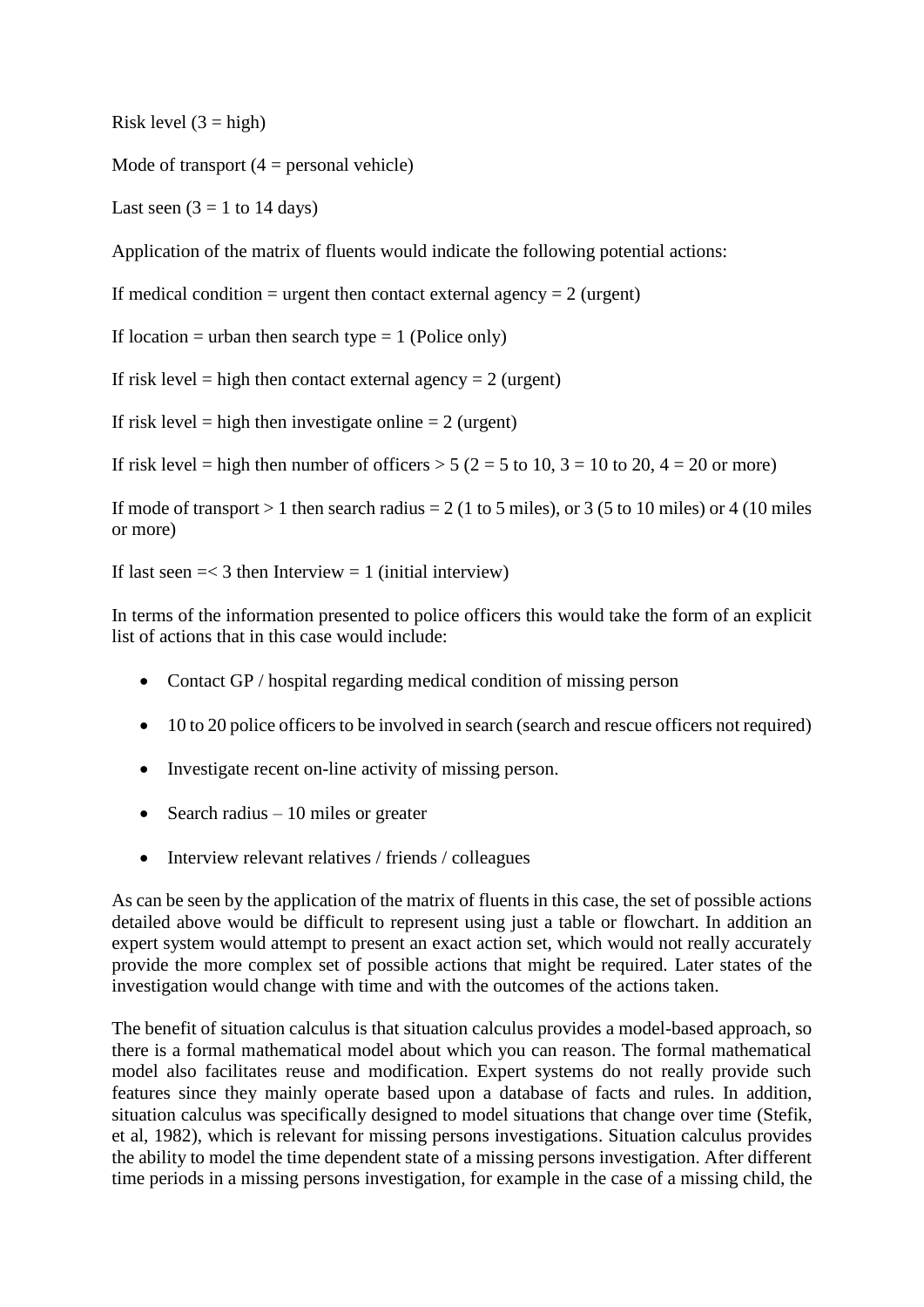Risk level  $(3 = high)$ 

Mode of transport  $(4 =$  personal vehicle)

Last seen  $(3 = 1$  to 14 days)

Application of the matrix of fluents would indicate the following potential actions:

If medical condition = urgent then contact external agency =  $2$  (urgent)

If location = urban then search type = 1 (Police only)

If risk level = high then contact external agency =  $2$  (urgent)

If risk level  $=$  high then investigate online  $= 2$  (urgent)

If risk level = high then number of officers  $> 5$  (2 = 5 to 10, 3 = 10 to 20, 4 = 20 or more)

If mode of transport  $> 1$  then search radius = 2 (1 to 5 miles), or 3 (5 to 10 miles) or 4 (10 miles or more)

If last seen  $=<$  3 then Interview  $=$  1 (initial interview)

In terms of the information presented to police officers this would take the form of an explicit list of actions that in this case would include:

- Contact GP / hospital regarding medical condition of missing person
- 10 to 20 police officers to be involved in search (search and rescue officers not required)
- Investigate recent on-line activity of missing person.
- Search radius  $-10$  miles or greater
- Interview relevant relatives / friends / colleagues

As can be seen by the application of the matrix of fluents in this case, the set of possible actions detailed above would be difficult to represent using just a table or flowchart. In addition an expert system would attempt to present an exact action set, which would not really accurately provide the more complex set of possible actions that might be required. Later states of the investigation would change with time and with the outcomes of the actions taken.

The benefit of situation calculus is that situation calculus provides a model-based approach, so there is a formal mathematical model about which you can reason. The formal mathematical model also facilitates reuse and modification. Expert systems do not really provide such features since they mainly operate based upon a database of facts and rules. In addition, situation calculus was specifically designed to model situations that change over time (Stefik, et al, 1982), which is relevant for missing persons investigations. Situation calculus provides the ability to model the time dependent state of a missing persons investigation. After different time periods in a missing persons investigation, for example in the case of a missing child, the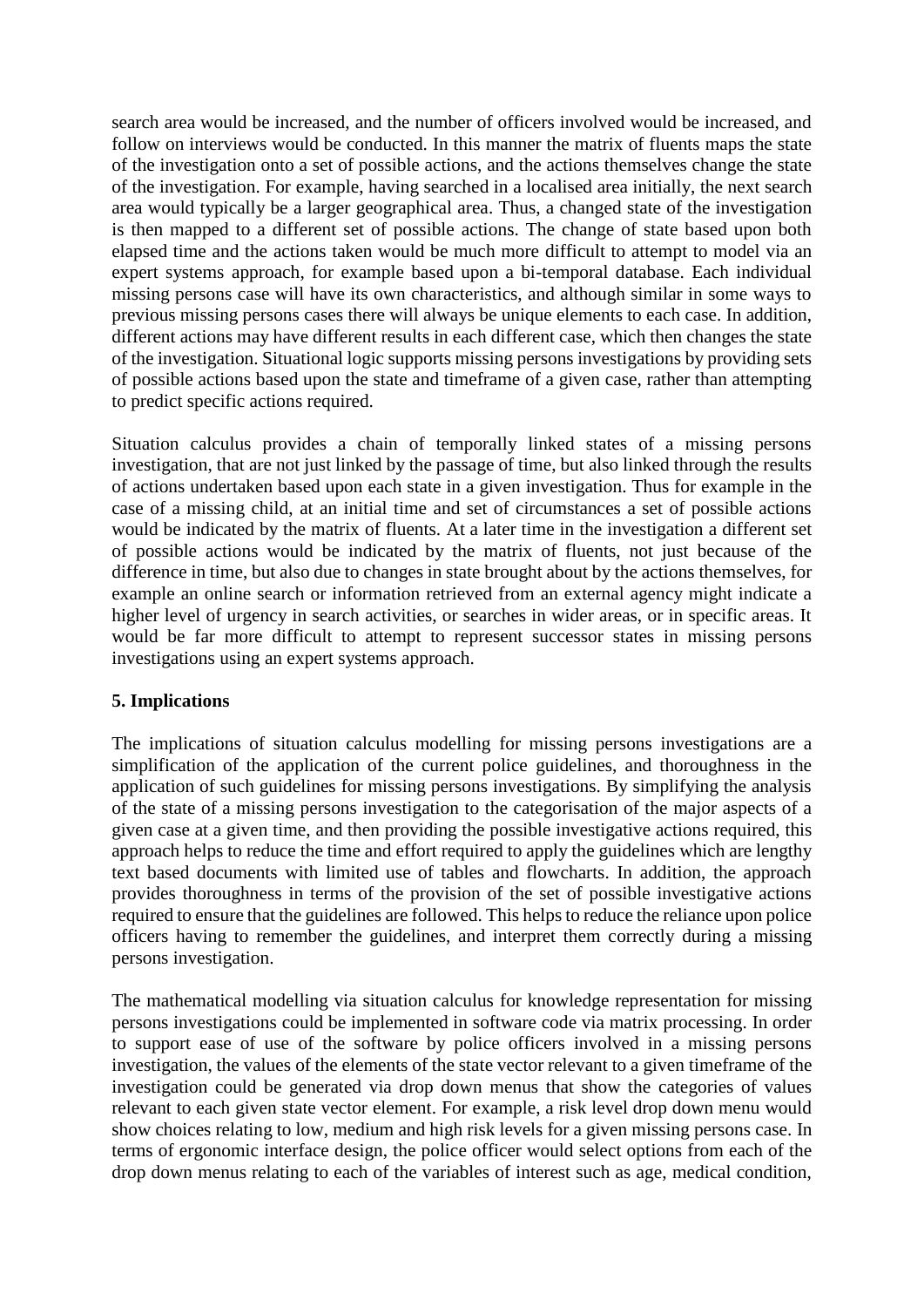search area would be increased, and the number of officers involved would be increased, and follow on interviews would be conducted. In this manner the matrix of fluents maps the state of the investigation onto a set of possible actions, and the actions themselves change the state of the investigation. For example, having searched in a localised area initially, the next search area would typically be a larger geographical area. Thus, a changed state of the investigation is then mapped to a different set of possible actions. The change of state based upon both elapsed time and the actions taken would be much more difficult to attempt to model via an expert systems approach, for example based upon a bi-temporal database. Each individual missing persons case will have its own characteristics, and although similar in some ways to previous missing persons cases there will always be unique elements to each case. In addition, different actions may have different results in each different case, which then changes the state of the investigation. Situational logic supports missing persons investigations by providing sets of possible actions based upon the state and timeframe of a given case, rather than attempting to predict specific actions required.

Situation calculus provides a chain of temporally linked states of a missing persons investigation, that are not just linked by the passage of time, but also linked through the results of actions undertaken based upon each state in a given investigation. Thus for example in the case of a missing child, at an initial time and set of circumstances a set of possible actions would be indicated by the matrix of fluents. At a later time in the investigation a different set of possible actions would be indicated by the matrix of fluents, not just because of the difference in time, but also due to changes in state brought about by the actions themselves, for example an online search or information retrieved from an external agency might indicate a higher level of urgency in search activities, or searches in wider areas, or in specific areas. It would be far more difficult to attempt to represent successor states in missing persons investigations using an expert systems approach.

## **5. Implications**

The implications of situation calculus modelling for missing persons investigations are a simplification of the application of the current police guidelines, and thoroughness in the application of such guidelines for missing persons investigations. By simplifying the analysis of the state of a missing persons investigation to the categorisation of the major aspects of a given case at a given time, and then providing the possible investigative actions required, this approach helps to reduce the time and effort required to apply the guidelines which are lengthy text based documents with limited use of tables and flowcharts. In addition, the approach provides thoroughness in terms of the provision of the set of possible investigative actions required to ensure that the guidelines are followed. This helps to reduce the reliance upon police officers having to remember the guidelines, and interpret them correctly during a missing persons investigation.

The mathematical modelling via situation calculus for knowledge representation for missing persons investigations could be implemented in software code via matrix processing. In order to support ease of use of the software by police officers involved in a missing persons investigation, the values of the elements of the state vector relevant to a given timeframe of the investigation could be generated via drop down menus that show the categories of values relevant to each given state vector element. For example, a risk level drop down menu would show choices relating to low, medium and high risk levels for a given missing persons case. In terms of ergonomic interface design, the police officer would select options from each of the drop down menus relating to each of the variables of interest such as age, medical condition,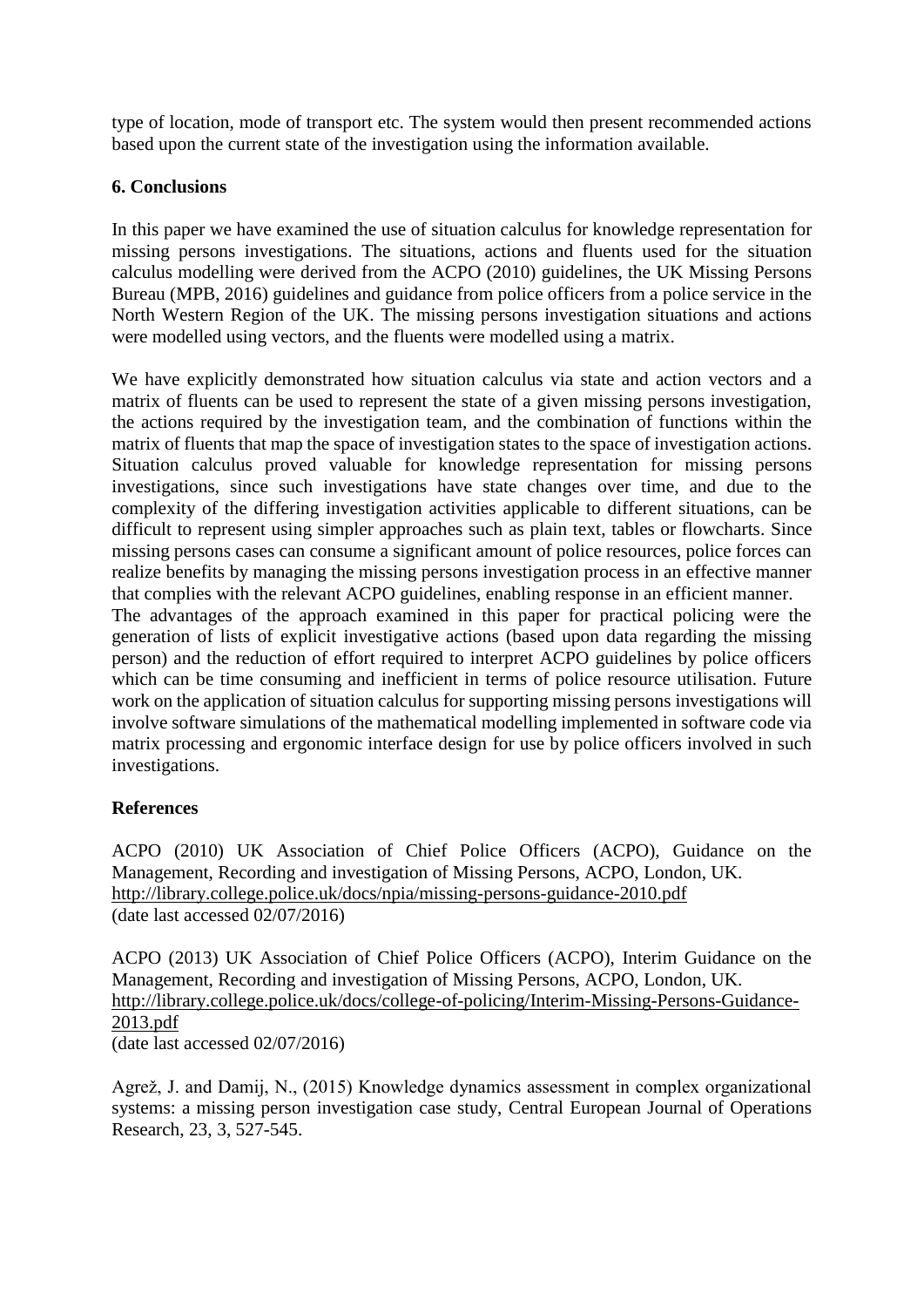type of location, mode of transport etc. The system would then present recommended actions based upon the current state of the investigation using the information available.

## **6. Conclusions**

In this paper we have examined the use of situation calculus for knowledge representation for missing persons investigations. The situations, actions and fluents used for the situation calculus modelling were derived from the ACPO (2010) guidelines, the UK Missing Persons Bureau (MPB, 2016) guidelines and guidance from police officers from a police service in the North Western Region of the UK. The missing persons investigation situations and actions were modelled using vectors, and the fluents were modelled using a matrix.

We have explicitly demonstrated how situation calculus via state and action vectors and a matrix of fluents can be used to represent the state of a given missing persons investigation, the actions required by the investigation team, and the combination of functions within the matrix of fluents that map the space of investigation states to the space of investigation actions. Situation calculus proved valuable for knowledge representation for missing persons investigations, since such investigations have state changes over time, and due to the complexity of the differing investigation activities applicable to different situations, can be difficult to represent using simpler approaches such as plain text, tables or flowcharts. Since missing persons cases can consume a significant amount of police resources, police forces can realize benefits by managing the missing persons investigation process in an effective manner that complies with the relevant ACPO guidelines, enabling response in an efficient manner. The advantages of the approach examined in this paper for practical policing were the generation of lists of explicit investigative actions (based upon data regarding the missing person) and the reduction of effort required to interpret ACPO guidelines by police officers which can be time consuming and inefficient in terms of police resource utilisation. Future work on the application of situation calculus for supporting missing persons investigations will involve software simulations of the mathematical modelling implemented in software code via matrix processing and ergonomic interface design for use by police officers involved in such

## **References**

investigations.

ACPO (2010) UK Association of Chief Police Officers (ACPO), Guidance on the Management, Recording and investigation of Missing Persons, ACPO, London, UK. <http://library.college.police.uk/docs/npia/missing-persons-guidance-2010.pdf> (date last accessed 02/07/2016)

ACPO (2013) UK Association of Chief Police Officers (ACPO), Interim Guidance on the Management, Recording and investigation of Missing Persons, ACPO, London, UK. [http://library.college.police.uk/docs/college-of-policing/Interim-Missing-Persons-Guidance-](http://library.college.police.uk/docs/college-of-policing/Interim-Missing-Persons-Guidance-2013.pdf)[2013.pdf](http://library.college.police.uk/docs/college-of-policing/Interim-Missing-Persons-Guidance-2013.pdf) (date last accessed 02/07/2016)

Agrež, J. and Damij, N., (2015) Knowledge dynamics assessment in complex organizational systems: a missing person investigation case study, Central European Journal of Operations Research, 23, 3, 527-545.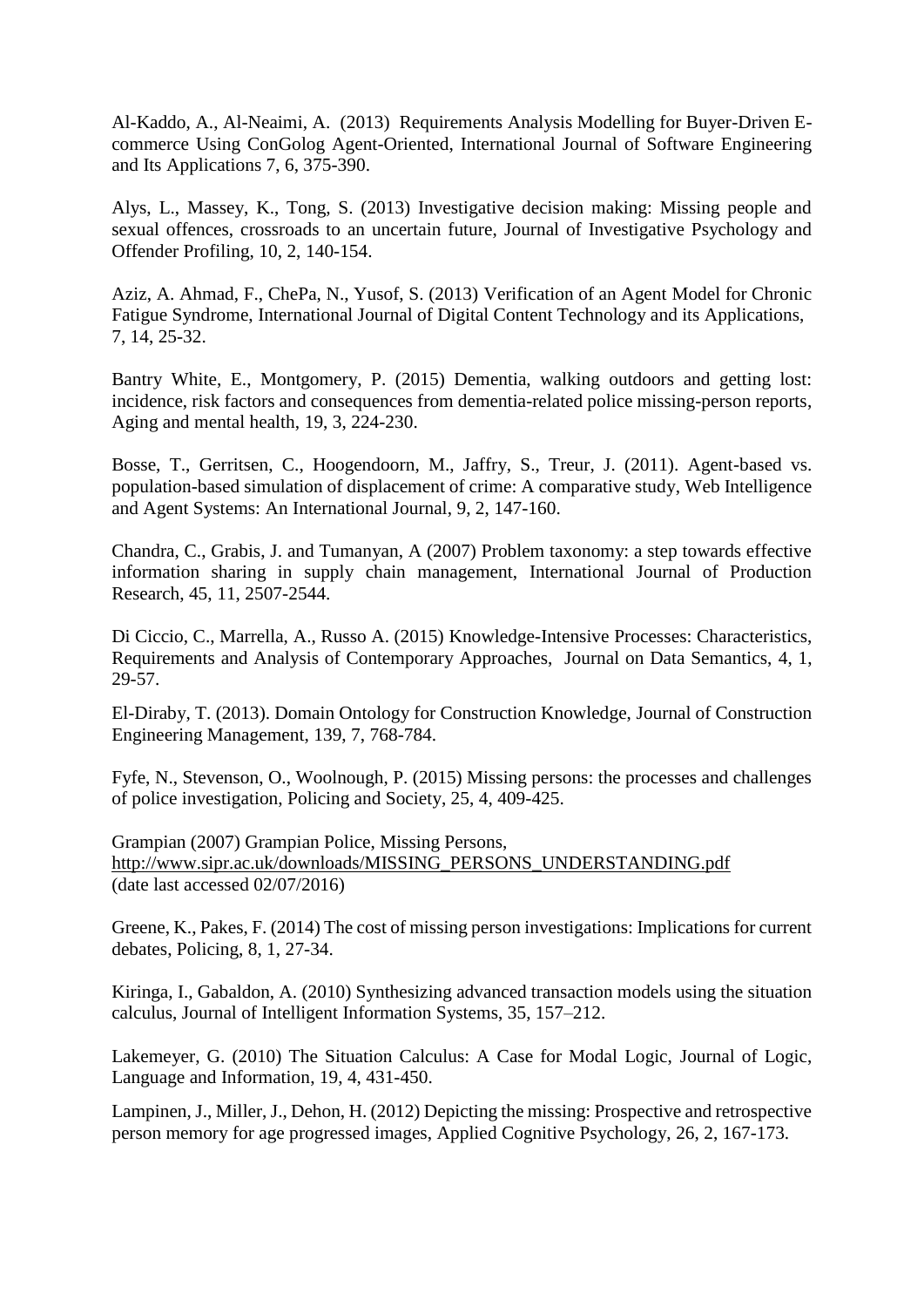Al-Kaddo, A., Al-Neaimi, A. (2013) Requirements Analysis Modelling for Buyer-Driven Ecommerce Using ConGolog Agent-Oriented, International Journal of Software Engineering and Its Applications 7, 6, 375-390.

Alys, L., Massey, K., Tong, S. (2013) Investigative decision making: Missing people and sexual offences, crossroads to an uncertain future, Journal of Investigative Psychology and Offender Profiling, 10, 2, 140-154.

Aziz, A. Ahmad, F., ChePa, N., Yusof, S. (2013) Verification of an Agent Model for Chronic Fatigue Syndrome, International Journal of Digital Content Technology and its Applications, 7, 14, 25-32.

Bantry White, E., Montgomery, P. (2015) Dementia, walking outdoors and getting lost: incidence, risk factors and consequences from dementia-related police missing-person reports, Aging and mental health, 19, 3, 224-230.

Bosse, T., Gerritsen, C., Hoogendoorn, M., Jaffry, S., Treur, J. (2011). Agent-based vs. population-based simulation of displacement of crime: A comparative study, Web Intelligence and Agent Systems: An International Journal, 9, 2, 147-160.

Chandra, C., Grabis, J. and Tumanyan, A (2007) Problem taxonomy: a step towards effective information sharing in supply chain management, International Journal of Production Research, 45, 11, 2507-2544.

Di Ciccio, C., Marrella, A., Russo A. (2015) Knowledge-Intensive Processes: Characteristics, Requirements and Analysis of Contemporary Approaches, Journal on Data Semantics, 4, 1, 29-57.

El-Diraby, T. (2013). Domain Ontology for Construction Knowledge, Journal of Construction Engineering Management, 139, 7, 768-784.

Fyfe, N., Stevenson, O., Woolnough, P. (2015) Missing persons: the processes and challenges of police investigation, Policing and Society, 25, 4, 409-425.

Grampian (2007) Grampian Police, Missing Persons, [http://www.sipr.ac.uk/downloads/MISSING\\_PERSONS\\_UNDERSTANDING.pdf](http://www.sipr.ac.uk/downloads/MISSING_PERSONS_UNDERSTANDING.pdf) (date last accessed 02/07/2016)

Greene, K., Pakes, F. (2014) The cost of missing person investigations: Implications for current debates, Policing, 8, 1, 27-34.

Kiringa, I., Gabaldon, A. (2010) Synthesizing advanced transaction models using the situation calculus, Journal of Intelligent Information Systems, 35, 157–212.

Lakemeyer, G. (2010) The Situation Calculus: A Case for Modal Logic, [Journal of Logic,](http://link.springer.com/journal/10849)  [Language and Information,](http://link.springer.com/journal/10849) 19, 4, 431-450.

Lampinen, J., Miller, J., Dehon, H. (2012) Depicting the missing: Prospective and retrospective person memory for age progressed images, Applied Cognitive Psychology, 26, 2, 167-173.